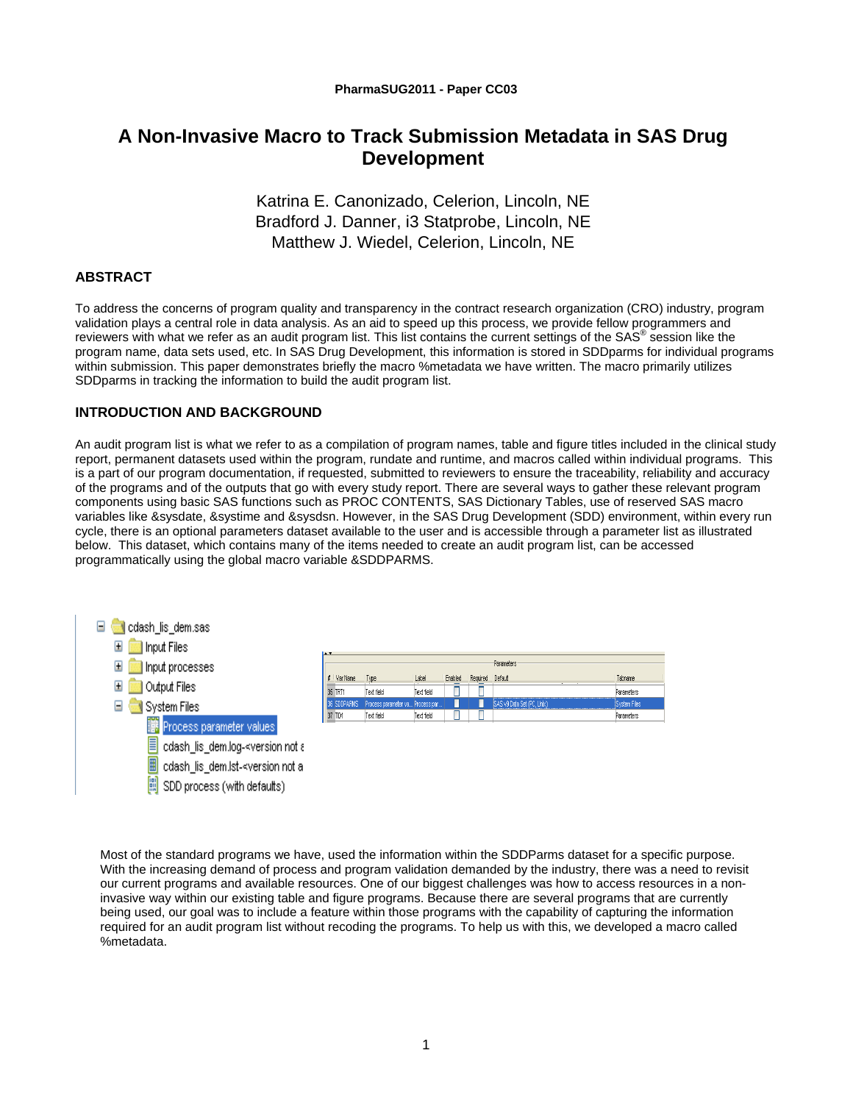# **A Non-Invasive Macro to Track Submission Metadata in SAS Drug Development**

Katrina E. Canonizado, Celerion, Lincoln, NE Bradford J. Danner, i3 Statprobe, Lincoln, NE Matthew J. Wiedel, Celerion, Lincoln, NE

# **ABSTRACT**

To address the concerns of program quality and transparency in the contract research organization (CRO) industry, program validation plays a central role in data analysis. As an aid to speed up this process, we provide fellow programmers and reviewers with what we refer as an audit program list. This list contains the current settings of the SAS<sup>®</sup> session like the program name, data sets used, etc. In SAS Drug Development, this information is stored in SDDparms for individual programs within submission. This paper demonstrates briefly the macro %metadata we have written. The macro primarily utilizes SDDparms in tracking the information to build the audit program list.

## **INTRODUCTION AND BACKGROUND**

An audit program list is what we refer to as a compilation of program names, table and figure titles included in the clinical study report, permanent datasets used within the program, rundate and runtime, and macros called within individual programs. This is a part of our program documentation, if requested, submitted to reviewers to ensure the traceability, reliability and accuracy of the programs and of the outputs that go with every study report. There are several ways to gather these relevant program components using basic SAS functions such as PROC CONTENTS, SAS Dictionary Tables, use of reserved SAS macro variables like &sysdate, &systime and &sysdsn. However, in the SAS Drug Development (SDD) environment, within every run cycle, there is an optional parameters dataset available to the user and is accessible through a parameter list as illustrated below. This dataset, which contains many of the items needed to create an audit program list, can be accessed programmatically using the global macro variable &SDDPARMS.



Most of the standard programs we have, used the information within the SDDParms dataset for a specific purpose. With the increasing demand of process and program validation demanded by the industry, there was a need to revisit our current programs and available resources. One of our biggest challenges was how to access resources in a noninvasive way within our existing table and figure programs. Because there are several programs that are currently being used, our goal was to include a feature within those programs with the capability of capturing the information required for an audit program list without recoding the programs. To help us with this, we developed a macro called %metadata.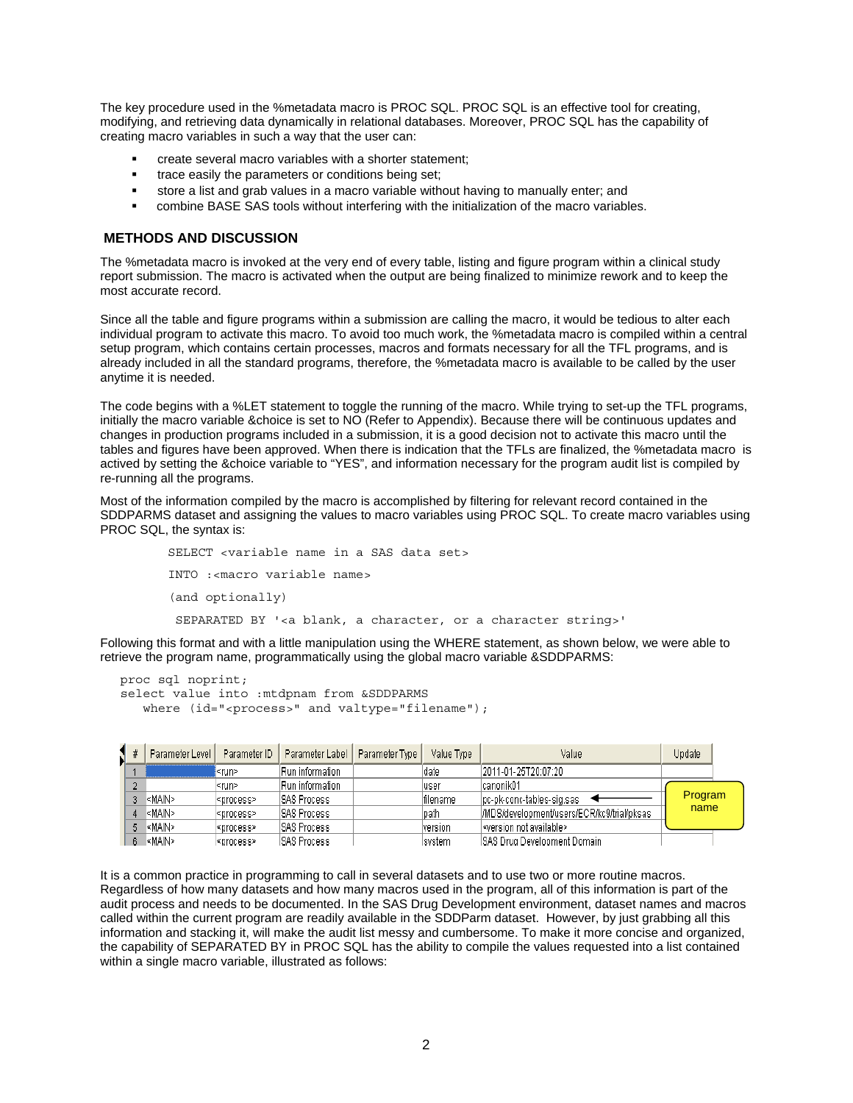The key procedure used in the %metadata macro is PROC SQL. PROC SQL is an effective tool for creating, modifying, and retrieving data dynamically in relational databases. Moreover, PROC SQL has the capability of creating macro variables in such a way that the user can:

- create several macro variables with a shorter statement;
- trace easily the parameters or conditions being set;
- store a list and grab values in a macro variable without having to manually enter; and
- combine BASE SAS tools without interfering with the initialization of the macro variables.

#### **METHODS AND DISCUSSION**

The %metadata macro is invoked at the very end of every table, listing and figure program within a clinical study report submission. The macro is activated when the output are being finalized to minimize rework and to keep the most accurate record.

Since all the table and figure programs within a submission are calling the macro, it would be tedious to alter each individual program to activate this macro. To avoid too much work, the %metadata macro is compiled within a central setup program, which contains certain processes, macros and formats necessary for all the TFL programs, and is already included in all the standard programs, therefore, the %metadata macro is available to be called by the user anytime it is needed.

The code begins with a %LET statement to toggle the running of the macro. While trying to set-up the TFL programs, initially the macro variable &choice is set to NO (Refer to Appendix). Because there will be continuous updates and changes in production programs included in a submission, it is a good decision not to activate this macro until the tables and figures have been approved. When there is indication that the TFLs are finalized, the %metadata macro is actived by setting the &choice variable to "YES", and information necessary for the program audit list is compiled by re-running all the programs.

Most of the information compiled by the macro is accomplished by filtering for relevant record contained in the SDDPARMS dataset and assigning the values to macro variables using PROC SQL. To create macro variables using PROC SQL, the syntax is:

```
 SELECT <variable name in a SAS data set> 
 INTO :<macro variable name> 
 (and optionally) 
 SEPARATED BY '<a blank, a character, or a character string>'
```
Following this format and with a little manipulation using the WHERE statement, as shown below, we were able to retrieve the program name, programmatically using the global macro variable &SDDPARMS:

```
proc sql noprint; 
select value into :mtdpnam from &SDDPARMS 
   where (id="<process>" and valtype="filename");
```

|  | Parameter Level I                                                                                                                                                                | Parameter ID        | Parameter Label     | Parameter Type | Value Type | Value                                      | Update  |  |
|--|----------------------------------------------------------------------------------------------------------------------------------------------------------------------------------|---------------------|---------------------|----------------|------------|--------------------------------------------|---------|--|
|  |                                                                                                                                                                                  | ≺run>               | Run information     |                | date       | 12011-01-25T20:07:20                       |         |  |
|  |                                                                                                                                                                                  | ≺run>               | Run information     |                | user       | lcanonikO1                                 |         |  |
|  | l≤MAIN>i                                                                                                                                                                         | ≼process>           | ISAS Process        |                | lfilename. | lpc-pk-conc-tables-sig.sas                 | Program |  |
|  | l <main≻< th=""><th><process></process></th><th><b>ISAS Process</b></th><th></th><th>path</th><th>/MDS/development/users/ECR/kc9/trial/pksas</th><th>name</th><th></th></main≻<> | <process></process> | <b>ISAS Process</b> |                | path       | /MDS/development/users/ECR/kc9/trial/pksas | name    |  |
|  | l <main></main>                                                                                                                                                                  | ≺process>           | <b>ISAS Process</b> |                | lversion.  | l <version available="" not=""></version>  |         |  |
|  | l <main≻< td=""><td>∣≺process&gt;</td><td><b>ISAS Process</b></td><td></td><td>Isvstem</td><td>ISAS Drug Development Domain</td><td></td><td></td></main≻<>                      | ∣≺process>          | <b>ISAS Process</b> |                | Isvstem    | ISAS Drug Development Domain               |         |  |

It is a common practice in programming to call in several datasets and to use two or more routine macros. Regardless of how many datasets and how many macros used in the program, all of this information is part of the audit process and needs to be documented. In the SAS Drug Development environment, dataset names and macros called within the current program are readily available in the SDDParm dataset. However, by just grabbing all this information and stacking it, will make the audit list messy and cumbersome. To make it more concise and organized, the capability of SEPARATED BY in PROC SQL has the ability to compile the values requested into a list contained within a single macro variable, illustrated as follows: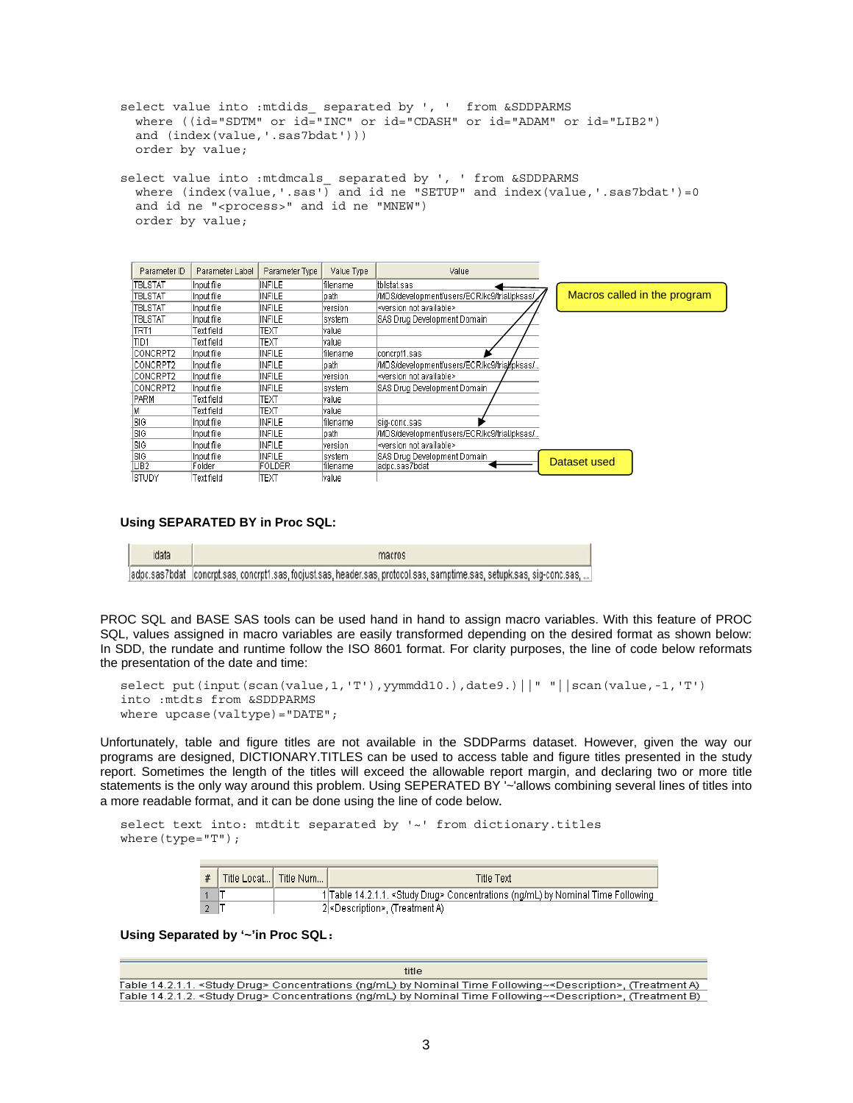```
select value into : mtdids separated by ', ' from &SDDPARMS
   where ((id="SDTM" or id="INC" or id="CDASH" or id="ADAM" or id="LIB2") 
   and (index(value,'.sas7bdat'))) 
   order by value;
```
select value into :mtdmcals\_ separated by ', ' from &SDDPARMS where  $(index(value,'.\text{sas'})$  and id ne "SETUP" and index(value, '.sas7bdat')=0 and id ne "<process>" and id ne "MNEW") order by value;

| Parameter ID     | Parameter Label | Parameter Type | Value Type | Value                                        |                              |
|------------------|-----------------|----------------|------------|----------------------------------------------|------------------------------|
| TBLSTAT          | Input file      | INFILE         | filename   | ltbistat.sas                                 |                              |
| <b>TBLSTAT</b>   | Input file      | INFILE         | Ipath.     | [/MDS/development/users/ECR/kc9/trial/pksas/ | Macros called in the program |
| <b>TBLSTAT</b>   | Input file      | <b>INFILE</b>  | version    | l <version available="" not=""></version>    |                              |
| <b>TBLSTAT</b>   | Input file      | INFILE         | lsystem    | SAS Drug Development Domain                  |                              |
| TRT1             | Text field      | ТЕХТ           | lvalue.    |                                              |                              |
| TID1             | Text field      | TEXT           | lvalue.    |                                              |                              |
| <b>ICONCRPT2</b> | linput file     | INFILE         | lfilename  | concrot1.sas                                 |                              |
| <b>ICONCRPT2</b> | Input file      | INFILE         | lpath.     | l/MDS/development/users/ECR/kc9/trial/pksas/ |                              |
| <b>CONCRPT2</b>  | Input file      | INFILE         | version    | l <version available="" not=""></version>    |                              |
| ICONCRPT2        | Input file      | INFILE         | lsvstem.   | ISAS Drug Development Domain                 |                              |
| PARM             | Text field      | ТЕХТ           | lvalue.    |                                              |                              |
|                  | Text field      | техт           | lvalue.    |                                              |                              |
| ISIG.            | Input file      | INFILE         | filename   | sig-conc.sas                                 |                              |
| ISIG             | Input file      | INFILE         | path       | I/MDS/development/users/ECR/kc9/trial/pksas/ |                              |
| ISIG             | Input file      | INFILE         | version    | ∣ <version available="" not="">.</version>   |                              |
| ISIG.            | Input file      | INFILE         | lsystem    | ISAS Drug Development Domain                 |                              |
| LIB <sub>2</sub> | Folder          | FOLDER         | lfilename  | ladpc.sas7bdat                               | Dataset used                 |
| ISTUDY.          | hieñ tveT       | TFXT           | value      |                                              |                              |

**Using SEPARATED BY in Proc SQL:** 

| idata | macros                                                                                                                   |  |  |  |  |  |  |
|-------|--------------------------------------------------------------------------------------------------------------------------|--|--|--|--|--|--|
|       | adpc.sas7bdat  concrpt.sas, concrpt1.sas, foojust.sas, header.sas, protocol.sas, samptime.sas, setupk.sas, sig-conc.sas, |  |  |  |  |  |  |

PROC SQL and BASE SAS tools can be used hand in hand to assign macro variables. With this feature of PROC SQL, values assigned in macro variables are easily transformed depending on the desired format as shown below: In SDD, the rundate and runtime follow the ISO 8601 format. For clarity purposes, the line of code below reformats the presentation of the date and time:

```
select put(input(scan(value,1,'T'),yymmdd10.),date9.)||" "||scan(value,-1,'T') 
into :mtdts from &SDDPARMS 
where upcase(valtype)="DATE";
```
Unfortunately, table and figure titles are not available in the SDDParms dataset. However, given the way our programs are designed, DICTIONARY.TITLES can be used to access table and figure titles presented in the study report. Sometimes the length of the titles will exceed the allowable report margin, and declaring two or more title statements is the only way around this problem. Using SEPERATED BY '~'allows combining several lines of titles into a more readable format, and it can be done using the line of code below.

```
select text into: mtdtit separated by '~' from dictionary.titles
where(type="T");
```

| #   Title Locat…  Title Num…   / | <b>Title Text</b>                                                                          |
|----------------------------------|--------------------------------------------------------------------------------------------|
|                                  | 1 Table 14.2.1.1. <study drug=""> Concentrations (ng/mL) by Nominal Time Following</study> |
|                                  | 2 <description>, (Treatment A)</description>                                               |

**Using Separated by '~'in Proc SQL:** 

```
title
Table 14.2.1.1. <Study Drug> Concentrations (ng/mL) by Nominal Time Following~<Description>, (Treatment A)
Table 14.2.1.2. <Study Drug> Concentrations (ng/mL) by Nominal Time Following~<Description>, (Treatment B)
```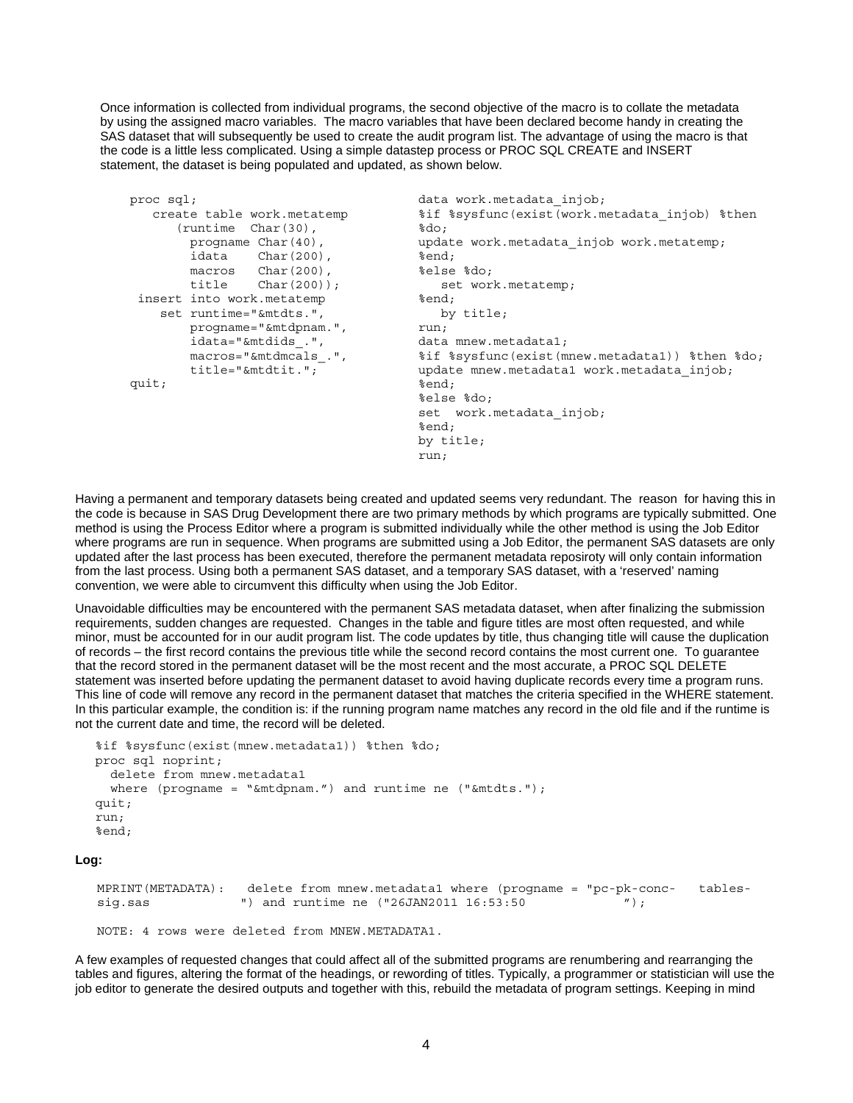Once information is collected from individual programs, the second objective of the macro is to collate the metadata by using the assigned macro variables. The macro variables that have been declared become handy in creating the SAS dataset that will subsequently be used to create the audit program list. The advantage of using the macro is that the code is a little less complicated. Using a simple datastep process or PROC SQL CREATE and INSERT statement, the dataset is being populated and updated, as shown below.

```
proc sql; example and the data work.metadata_injob;
                                          %if %sysfunc(exist(work.metadata_injob) %then 
                                          %do; 
                                          update work.metadata injob work.metatemp;
                                         %end; 
                                         %else %do; 
                                             set work.metatemp; 
                                         %end; 
                                             by title; 
                                         run; 
                                         data mnew.metadata1; 
                                         %if %sysfunc(exist(mnew.metadata1)) %then %do; 
                                         update mnew.metadata1 work.metadata injob;
                                          \overline{\ast}end:
                                          %else %do; 
                                          set work.metadata_injob; 
                                          %end; 
                                          by title; 
                                          run; 
    create table work.metatemp 
       (runtime Char(30), 
        progname Char(40),
         idata Char(200), 
        macros Char(200),<br>title Char(200))
                 char(200);
  insert into work.metatemp 
     set runtime="&mtdts.", 
         progname="&mtdpnam.", 
         idata="&mtdids_.", 
         macros="&mtdmcals_.", 
         title="&mtdtit."; 
quit;
```
Having a permanent and temporary datasets being created and updated seems very redundant. The reason for having this in the code is because in SAS Drug Development there are two primary methods by which programs are typically submitted. One method is using the Process Editor where a program is submitted individually while the other method is using the Job Editor where programs are run in sequence. When programs are submitted using a Job Editor, the permanent SAS datasets are only updated after the last process has been executed, therefore the permanent metadata reposiroty will only contain information from the last process. Using both a permanent SAS dataset, and a temporary SAS dataset, with a 'reserved' naming convention, we were able to circumvent this difficulty when using the Job Editor.

Unavoidable difficulties may be encountered with the permanent SAS metadata dataset, when after finalizing the submission requirements, sudden changes are requested. Changes in the table and figure titles are most often requested, and while minor, must be accounted for in our audit program list. The code updates by title, thus changing title will cause the duplication of records – the first record contains the previous title while the second record contains the most current one. To guarantee that the record stored in the permanent dataset will be the most recent and the most accurate, a PROC SQL DELETE statement was inserted before updating the permanent dataset to avoid having duplicate records every time a program runs. This line of code will remove any record in the permanent dataset that matches the criteria specified in the WHERE statement. In this particular example, the condition is: if the running program name matches any record in the old file and if the runtime is not the current date and time, the record will be deleted.

```
%if %sysfunc(exist(mnew.metadata1)) %then %do; 
proc sql noprint; 
   delete from mnew.metadata1 
  where (progname = "\&mtdpnam.") and runtime ne ("&mtdts.");
mit\cdotrun; 
%end;
```
**Log:** 

MPRINT(METADATA): delete from mnew.metadata1 where (progname = "pc-pk-conc- tablessig.sas ") and runtime ne ("26JAN2011 16:53:50

NOTE: 4 rows were deleted from MNEW.METADATA1.

A few examples of requested changes that could affect all of the submitted programs are renumbering and rearranging the tables and figures, altering the format of the headings, or rewording of titles. Typically, a programmer or statistician will use the job editor to generate the desired outputs and together with this, rebuild the metadata of program settings. Keeping in mind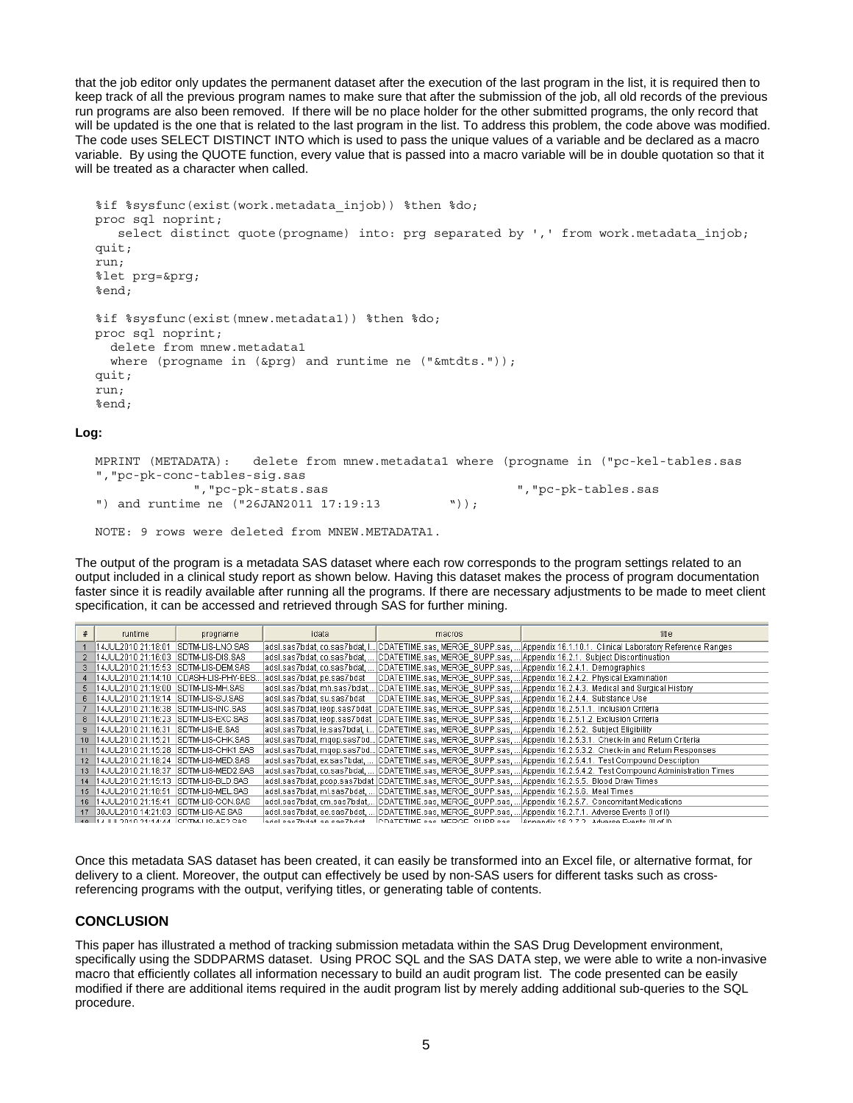that the job editor only updates the permanent dataset after the execution of the last program in the list, it is required then to keep track of all the previous program names to make sure that after the submission of the job, all old records of the previous run programs are also been removed. If there will be no place holder for the other submitted programs, the only record that will be updated is the one that is related to the last program in the list. To address this problem, the code above was modified. The code uses SELECT DISTINCT INTO which is used to pass the unique values of a variable and be declared as a macro variable. By using the QUOTE function, every value that is passed into a macro variable will be in double quotation so that it will be treated as a character when called.

```
%if %sysfunc(exist(work.metadata_injob)) %then %do; 
proc sql noprint; 
   select distinct quote(progname) into: prg separated by ', ' from work.metadata injob;
quit; 
run; 
%let prg=&prg; 
%end; 
%if %sysfunc(exist(mnew.metadata1)) %then %do; 
proc sql noprint; 
   delete from mnew.metadata1 
   where (progname in (&prg) and runtime ne ("&mtdts.")); 
quit; 
run; 
%end;
```
#### **Log:**

MPRINT (METADATA): delete from mnew.metadata1 where (progname in ("pc-kel-tables.sas ","pc-pk-conc-tables-sig.sas ","pc-pk-stats.sas ","pc-pk-tables.sas ") and runtime ne ("26JAN2011 17:19:13 "));

NOTE: 9 rows were deleted from MNEW.METADATA1.

The output of the program is a metadata SAS dataset where each row corresponds to the program settings related to an output included in a clinical study report as shown below. Having this dataset makes the process of program documentation faster since it is readily available after running all the programs. If there are necessary adjustments to be made to meet client specification, it can be accessed and retrieved through SAS for further mining.

| # | runtime                                         | progname                                | idata                       | macros                                                                                                   | title                                                                                                                      |
|---|-------------------------------------------------|-----------------------------------------|-----------------------------|----------------------------------------------------------------------------------------------------------|----------------------------------------------------------------------------------------------------------------------------|
|   | 14JUL2010 21:18:01                              | SDTM-LIS-LNO.SAS                        |                             |                                                                                                          | adsl.sas7bdat, co.sas7bdat, I… CDATETIME.sas, MERGE_SUPP.sas, … Appendix 16.1.10.1._Clinical Laboratory Reference Ranges_  |
|   |                                                 |                                         |                             |                                                                                                          | adsl.sas7bdat, co.sas7bdat,   CDATETIME.sas, MERGE_SUPP.sas,  Appendix 16.2.1.  Subject Discontinuation                    |
|   | 3  14JUL2010  21:15:53  SDTM-LIS-DEM.SAS        |                                         |                             | ladsi.sas7bdat.co.sas7bdat.… ICDATETIME.sas. MERGE_SUPP.sas.…IAppendix16.2.4.1.  Demographics.           |                                                                                                                            |
|   |                                                 | 4 14JUL2010 21:14:10 CDASH-LIS-PHY-BES. |                             |                                                                                                          | ladsl.sas7bdat, pe.sas7bdat =  CDATETIME.sas, MERGE_SUPP.sas,  Appendix 16.2.4.2._Physical Examination_                    |
|   |                                                 |                                         |                             |                                                                                                          | adsl.sas7bdat, mh.sas7bdat, CDATETIME.sas, MERGE_SUPP.sas,  Appendix 16.2.4.3._Medical and Surgical History                |
|   |                                                 |                                         | ladsi.sas7bdat. su.sas7bdat | CDATETIME.sas, MERGE SUPP.sas,  Appendix 16.2.4.4. Substance Use                                         |                                                                                                                            |
|   |                                                 |                                         |                             | ladsi.sas7bdat, ieop.sas7bdat_lCDATETIME.sas, MERGE_SUPP.sas,  Appendix 16.2.5.1.1._Inclusion Criteria   |                                                                                                                            |
|   | 8  14JUL2010  21:16:23  SDTM-LIS-EXC.SAS        |                                         |                             | ladsl.sas7bdat, ieop.sas7bdat  CDATETIME.sas, MERGE   SUPP.sas,  Appendix 16.2.5.1.2. Exclusion Criteria |                                                                                                                            |
|   | 9 14JUL2010 21:16:31                            | SDTM-LIS-IE.SAS                         |                             | adsl.sas7bdat, ie.sas7bdat, i  CDATETIME.sas, MERGE_SUPP.sas,  Appendix 16.2.5.2._Subject Eliqibility_   |                                                                                                                            |
|   | 10 14JUL2010 21:15:21                           | SDTM-LIS-CHK.SAS                        |                             |                                                                                                          | adsl.sas7bdat, mqop.sas7bd CDATETIME.sas, MERGE_SUPP.sas,  Appendix16.2.5.3.1._Check-in and Return Criteria                |
|   | 11 14JUL2010 21:15:28 SDTM-LIS-CHK1.SAS         |                                         |                             |                                                                                                          | adsl.sas7bdat, mqop.sas7bd CDATETIME.sas, MERGE_SUPP.sas,  Appendix 16.2.5.3.2.  Check-in and Return Responses             |
|   | 12 14JUL2010 21:18:24 SDTM-LIS-MED.SAS          |                                         |                             |                                                                                                          | ladsl.sas7bdat.ex.sas7bdat. …  CDATETIME.sas. MERGE_SUPP.sas. … Appendix16.2.5.4.1. Test Compound Description_             |
|   | 13 14JUL2010 21:18:37 SDTM-LIS-MED2.SAS         |                                         |                             |                                                                                                          | adsl.sas7bdat, co.sas7bdat, …  CDATETIME.sas, MERGE   SUPP.sas, … Appendix 16.2.5.4.2.  Test Compound Administration Times |
|   | 14 14JUL2010 21:15:13 SDTM-LIS-BLD.SAS          |                                         |                             | [adsl.sas7bdat, pcop.sas7bdat  CDATETIME.sas, MERGE_SUPP.sas,  Appendix 16.2.5.5._Blood Draw Times       |                                                                                                                            |
|   | 15 14JUL2010 21:18:51                           | ISDTM-LIS-MEL.SAS                       |                             | adsi.sas7bdat, mi.sas7bdat, … [CDATETIME.sas, MERGE_SUPP.sas, … [Appendix 16.2.5.6. Meal Times]          |                                                                                                                            |
|   | 16 14JUL2010 21:15:41                           | SDTM-LIS-CON.SAS                        |                             |                                                                                                          | ladsl.sas7bdat. cm.sas7bdat  CDATETIME.sas. MERGE_SUPP.sas.   Appendix 16.2.5.7.   Concomitant Medications                 |
|   | 17 30JUL2010 14:21:03 SDTM-LIS-AE.SAS           |                                         |                             |                                                                                                          | (adsi.sas7bdat, ae.sas7bdat,   CDATETIME.sas, MERGE_SUPP.sas,   Appendix 16.2.7.1.  Adverse Events (Lof II                 |
|   | 48   17   11   2010 21:17:77   RDTMLLIRLAE? RAR |                                         |                             |                                                                                                          | adel esc7hdst_sa_csc7hdst___ CDATETIME_csc_MERGE_SHPP_csc___ Annandiv 16.2.7.2_Advarca Evante (II of II)_                  |

Once this metadata SAS dataset has been created, it can easily be transformed into an Excel file, or alternative format, for delivery to a client. Moreover, the output can effectively be used by non-SAS users for different tasks such as crossreferencing programs with the output, verifying titles, or generating table of contents.

### **CONCLUSION**

This paper has illustrated a method of tracking submission metadata within the SAS Drug Development environment, specifically using the SDDPARMS dataset. Using PROC SQL and the SAS DATA step, we were able to write a non-invasive macro that efficiently collates all information necessary to build an audit program list. The code presented can be easily modified if there are additional items required in the audit program list by merely adding additional sub-queries to the SQL procedure.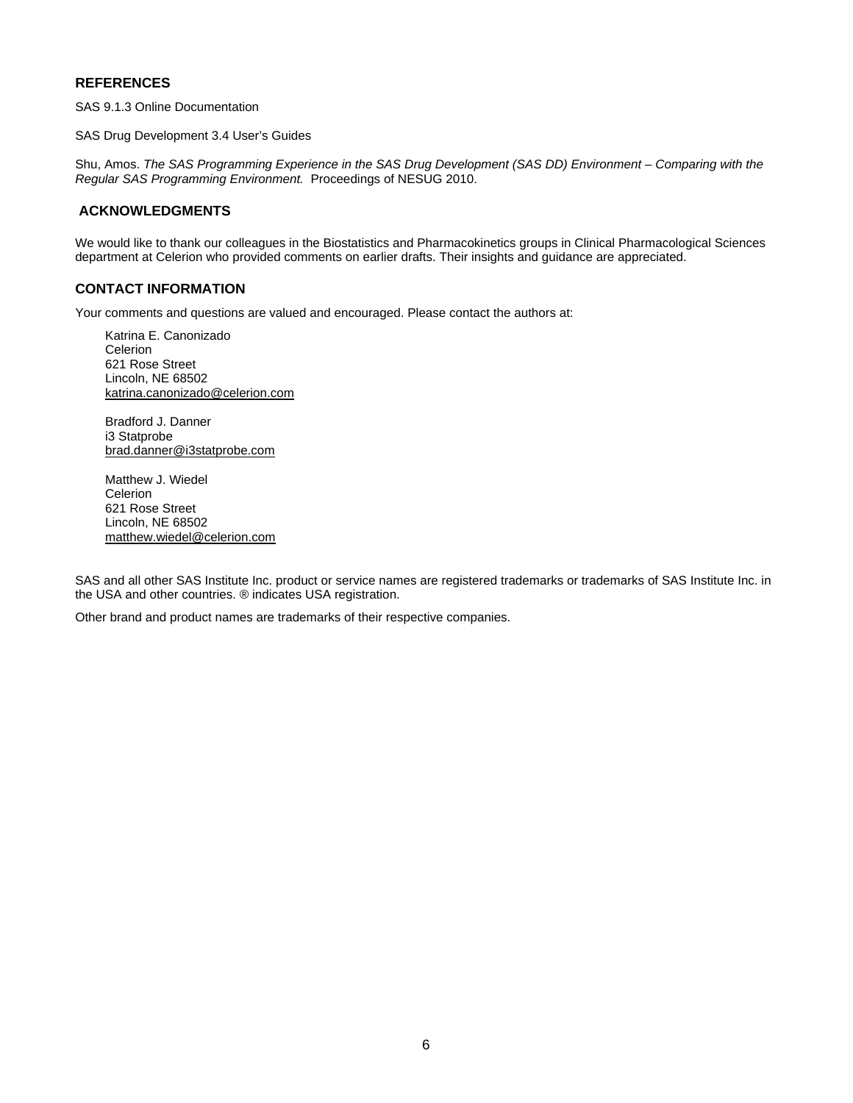#### **REFERENCES**

SAS 9.1.3 Online Documentation

SAS Drug Development 3.4 User's Guides

Shu, Amos. *The SAS Programming Experience in the SAS Drug Development (SAS DD) Environment – Comparing with the Regular SAS Programming Environment.* Proceedings of NESUG 2010.

### **ACKNOWLEDGMENTS**

We would like to thank our colleagues in the Biostatistics and Pharmacokinetics groups in Clinical Pharmacological Sciences department at Celerion who provided comments on earlier drafts. Their insights and guidance are appreciated.

#### **CONTACT INFORMATION**

Your comments and questions are valued and encouraged. Please contact the authors at:

Katrina E. Canonizado **Celerion** 621 Rose Street Lincoln, NE 68502 [katrina.canonizado@celerion.com](mailto:katrina.canonizado@celerion.com)

Bradford J. Danner i3 Statprobe [brad.danner@i3statprobe.com](mailto:brad.danner@i3statprobe.com)

Matthew J. Wiedel Celerion 621 Rose Street Lincoln, NE 68502 [matthew.wiedel@celerion.com](mailto:matthew.wiedel@celerion.com)

SAS and all other SAS Institute Inc. product or service names are registered trademarks or trademarks of SAS Institute Inc. in the USA and other countries. ® indicates USA registration.

Other brand and product names are trademarks of their respective companies.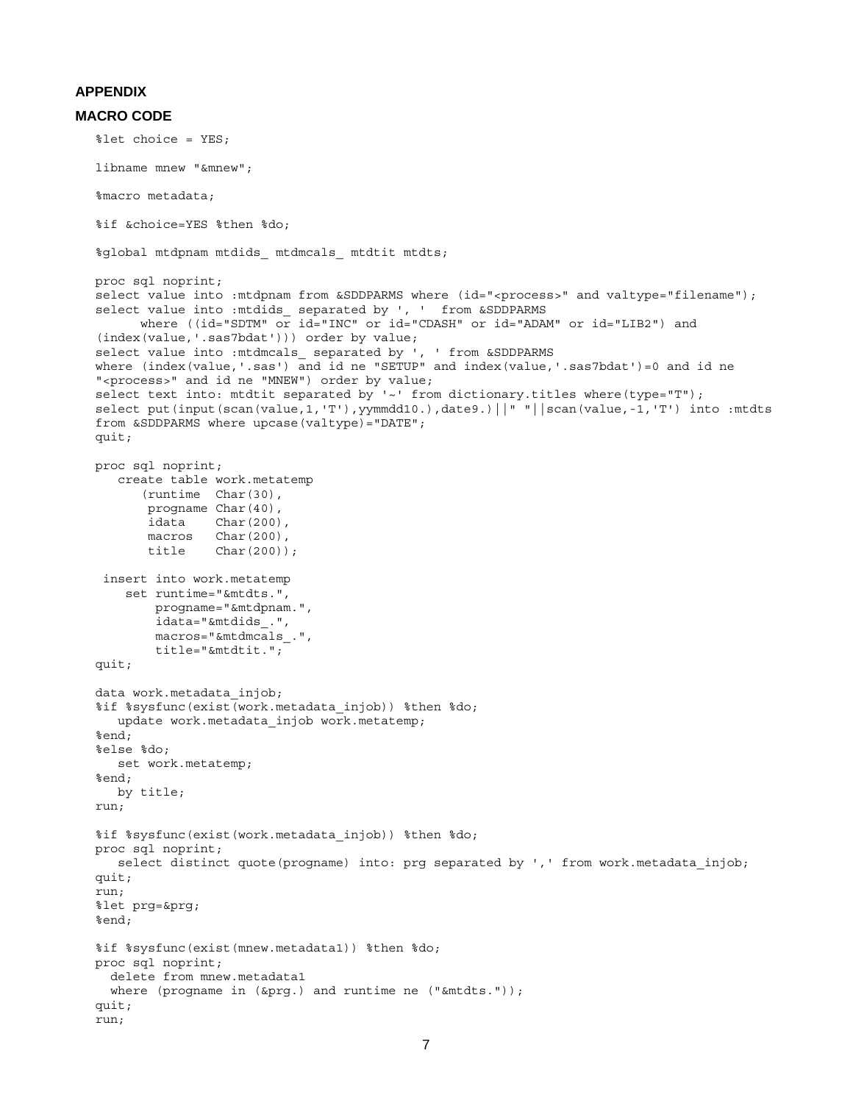#### **APPENDIX**

#### **MACRO CODE**

```
%let choice = YES; 
libname mnew "&mnew"; 
%macro metadata; 
%if &choice=YES %then %do; 
%global mtdpnam mtdids_ mtdmcals_ mtdtit mtdts; 
proc sql noprint; 
select value into : mtdpnam from &SDDPARMS where (id="<process>" and valtype="filename");
select value into : mtdids_ separated by ', ' from &SDDPARMS
       where ((id="SDTM" or id="INC" or id="CDASH" or id="ADAM" or id="LIB2") and 
(index(value,'.sas7bdat'))) order by value; 
select value into : mtdmcals_ separated by ', ' from &SDDPARMS
where (index(value,'.sas') and id ne "SETUP" and index(value,'.sas7bdat')=0 and id ne
"<process>" and id ne "MNEW") order by value; 
select text into: mtdtit separated by '~' from dictionary.titles where(type="T");
select put(input(scan(value,1,'T'),yymmdd10.),date9.)||" "||scan(value,-1,'T') into :mtdts
from &SDDPARMS where upcase(valtype)="DATE"; 
quit; 
proc sql noprint; 
    create table work.metatemp 
       (runtime Char(30), 
      progname Char(40),
        idata Char(200), 
       macros Char(200),
        title Char(200)); 
  insert into work.metatemp 
     set runtime="&mtdts.", 
         progname="&mtdpnam.", 
         idata="&mtdids_.", 
         macros="&mtdmcals_.", 
         title="&mtdtit."; 
quit; 
data work.metadata_injob; 
%if %sysfunc(exist(work.metadata_injob)) %then %do; 
  update work.metadata injob work.metatemp;
%end; 
%else %do; 
   set work.metatemp; 
%end; 
   by title; 
run; 
%if %sysfunc(exist(work.metadata_injob)) %then %do; 
proc sql noprint; 
   select distinct quote(progname) into: prg separated by ',' from work.metadata injob;
quit; 
run; 
%let prg=&prg; 
%end; 
%if %sysfunc(exist(mnew.metadata1)) %then %do; 
proc sql noprint; 
   delete from mnew.metadata1 
 where (progname in (&prg.) and runtime ne ("&mtdts."));
quit; 
run;
```